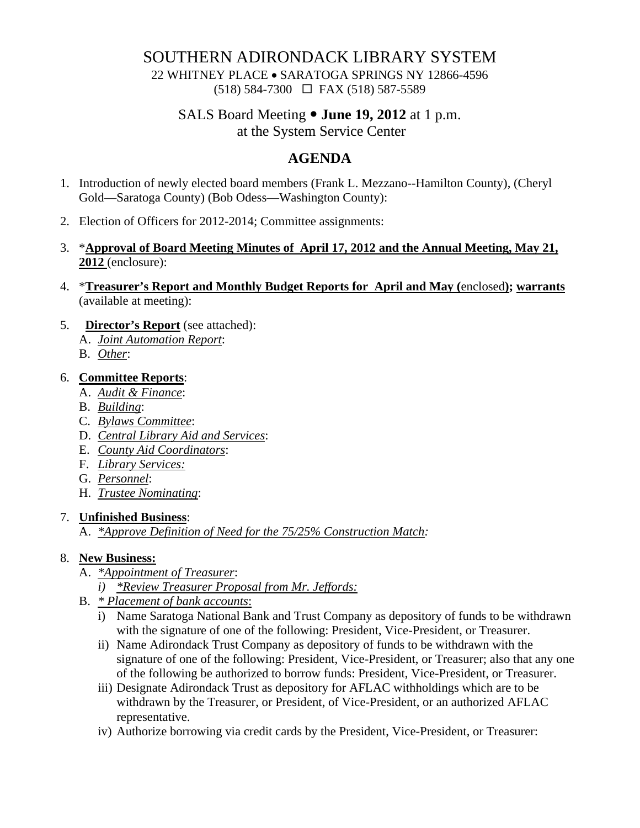### SOUTHERN ADIRONDACK LIBRARY SYSTEM

22 WHITNEY PLACE • SARATOGA SPRINGS NY 12866-4596 (518) 584-7300 FAX (518) 587-5589

# SALS Board Meeting  $\bullet$  **June 19, 2012** at 1 p.m.

at the System Service Center

## **AGENDA**

- 1. Introduction of newly elected board members (Frank L. Mezzano--Hamilton County), (Cheryl Gold—Saratoga County) (Bob Odess—Washington County):
- 2. Election of Officers for 2012-2014; Committee assignments:
- 3. \***Approval of Board Meeting Minutes of April 17, 2012 and the Annual Meeting, May 21, 2012** (enclosure):
- 4. \***Treasurer's Report and Monthly Budget Reports for April and May (**enclosed**); warrants** (available at meeting):
- 5. **Director's Report** (see attached):
	- A. *Joint Automation Report*:
	- B. *Other*:

### 6. **Committee Reports**:

- A. *Audit & Finance*:
- B. *Building*:
- C. *Bylaws Committee*:
- D. *Central Library Aid and Services*:
- E. *County Aid Coordinators*:
- F. *Library Services:*
- G. *Personnel*:
- H. *Trustee Nominating*:

#### 7. **Unfinished Business**:

A. *\*Approve Definition of Need for the 75/25% Construction Match:*

### 8. **New Business:**

- A. *\*Appointment of Treasurer*:
	- *i) \*Review Treasurer Proposal from Mr. Jeffords:*
- B. *\* Placement of bank accounts*:
	- i) Name Saratoga National Bank and Trust Company as depository of funds to be withdrawn with the signature of one of the following: President, Vice-President, or Treasurer.
	- ii) Name Adirondack Trust Company as depository of funds to be withdrawn with the signature of one of the following: President, Vice-President, or Treasurer; also that any one of the following be authorized to borrow funds: President, Vice-President, or Treasurer.
	- iii) Designate Adirondack Trust as depository for AFLAC withholdings which are to be withdrawn by the Treasurer, or President, of Vice-President, or an authorized AFLAC representative.
	- iv) Authorize borrowing via credit cards by the President, Vice-President, or Treasurer: